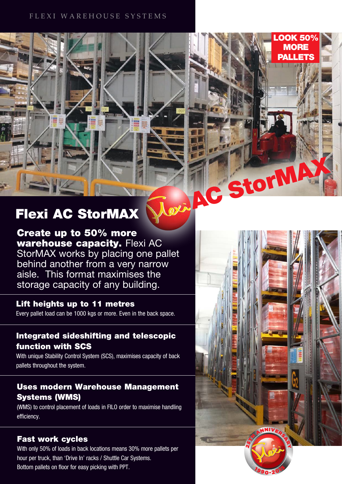# FLEXI WAREHOUSE SYSTEMS

# Flexi AC StorMAX

Create up to 50% more warehouse capacity. Flexi AC StorMAX works by placing one pallet behind another from a very narrow aisle. This format maximises the storage capacity of any building.

# Lift heights up to 11 metres

Every pallet load can be 1000 kgs or more. Even in the back space.

# Integrated sideshifting and telescopic function with SCS

With unique Stability Control System (SCS), maximises capacity of back pallets throughout the system.

# Uses modern Warehouse Management Systems (WMS)

(WMS) to control placement of loads in FILO order to maximise handling efficiency.

# Fast work cycles

With only 50% of loads in back locations means 30% more pallets per hour per truck, than 'Drive In' racks / Shuttle Car Systems. Bottom pallets on floor for easy picking with PPT.



LOOK 50% MORE **PALLETS** 

ou AC StorM